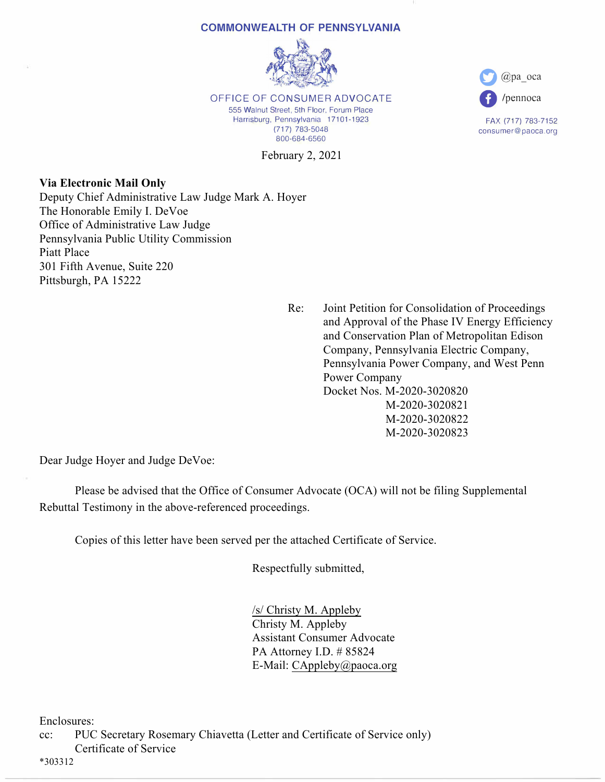## **COMMONWEALTH OF PENNSYLVANIA**



OFFICE OF CONSUMER ADVOCATE 555 Walnut Street, 5th Floor, Forum Place Harrisburg, Pennsylvania 17101-1923 (717) 783-5048 800-684-6560

February 2, 2021

**Via Electronic Mail Only** Deputy Chief Administrative Law Judge Mark A. Hoyer The Honorable Emily I. DeVoe Office of Administrative Law Judge Pennsylvania Public Utility Commission Piatt Place 301 Fifth Avenue, Suite 220 Pittsburgh, PA 15222

> Re: Joint Petition for Consolidation of Proceedings and Approval of the Phase IV Energy Efficiency and Conservation Plan of Metropolitan Edison Company, Pennsylvania Electric Company, Pennsylvania Power Company, and West Penn Power Company Docket Nos. M-2020-3020820 M-2020-3020821 M-2020-3020822 M-2020-3020823

**0** @pa\_oca

**0** /pennoca

FAX (717) 783-7152 consumer@paoca.org

Dear Judge Hoyer and Judge DeVoe:

 Please be advised that the Office of Consumer Advocate (OCA) will not be filing Supplemental Rebuttal Testimony in the above-referenced proceedings.

Copies of this letter have been served per the attached Certificate of Service.

Respectfully submitted,

 /s/ Christy M. Appleby Christy M. Appleby Assistant Consumer Advocate PA Attorney I.D. # 85824 E-Mail: CAppleby@paoca.org

Enclosures:

cc: PUC Secretary Rosemary Chiavetta (Letter and Certificate of Service only) Certificate of Service

\*303312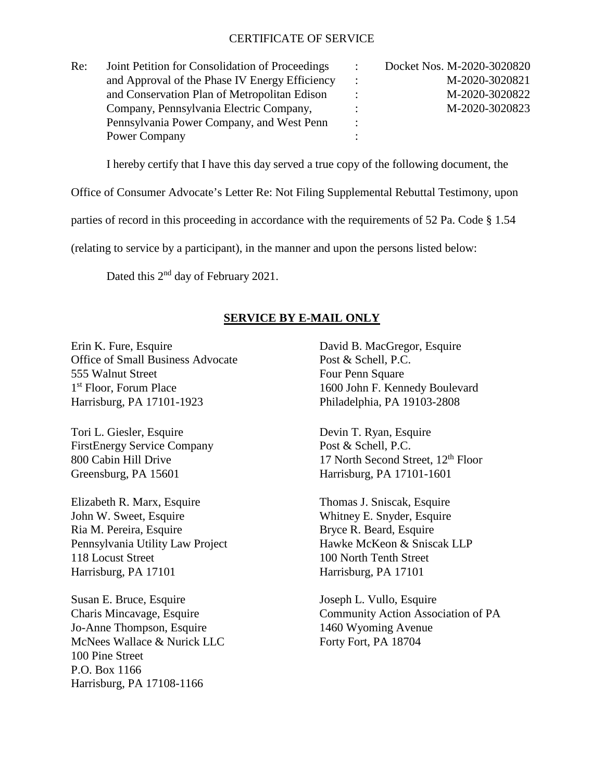## CERTIFICATE OF SERVICE

| Re: | Joint Petition for Consolidation of Proceedings | $\ddot{\phantom{a}}$ | Docket Nos. M-2020-3020820 |
|-----|-------------------------------------------------|----------------------|----------------------------|
|     | and Approval of the Phase IV Energy Efficiency  | $\ddot{\phantom{0}}$ | M-2020-3020821             |
|     | and Conservation Plan of Metropolitan Edison    |                      | M-2020-3020822             |
|     | Company, Pennsylvania Electric Company,         |                      | M-2020-3020823             |
|     | Pennsylvania Power Company, and West Penn       | $\ddot{\cdot}$       |                            |
|     | Power Company                                   |                      |                            |

I hereby certify that I have this day served a true copy of the following document, the

Office of Consumer Advocate's Letter Re: Not Filing Supplemental Rebuttal Testimony, upon

parties of record in this proceeding in accordance with the requirements of 52 Pa. Code § 1.54

(relating to service by a participant), in the manner and upon the persons listed below:

Dated this  $2<sup>nd</sup>$  day of February 2021.

## **SERVICE BY E-MAIL ONLY**

Erin K. Fure, Esquire David B. MacGregor, Esquire Office of Small Business Advocate Post & Schell, P.C. 555 Walnut Street Four Penn Square 1<sup>st</sup> Floor, Forum Place 1600 John F. Kennedy Boulevard Harrisburg, PA 17101-1923 Philadelphia, PA 19103-2808

Tori L. Giesler, Esquire Devin T. Ryan, Esquire FirstEnergy Service Company Post & Schell, P.C. Greensburg, PA 15601 Harrisburg, PA 17101-1601

Elizabeth R. Marx, Esquire Thomas J. Sniscak, Esquire John W. Sweet, Esquire Whitney E. Snyder, Esquire Ria M. Pereira, Esquire Bryce R. Beard, Esquire Pennsylvania Utility Law Project Hawke McKeon & Sniscak LLP 118 Locust Street 100 North Tenth Street Harrisburg, PA 17101 Harrisburg, PA 17101

Susan E. Bruce, Esquire Joseph L. Vullo, Esquire Jo-Anne Thompson, Esquire 1460 Wyoming Avenue McNees Wallace & Nurick LLC Forty Fort, PA 18704 100 Pine Street P.O. Box 1166 Harrisburg, PA 17108-1166

800 Cabin Hill Drive 17 North Second Street,  $12<sup>th</sup>$  Floor

Charis Mincavage, Esquire Community Action Association of PA